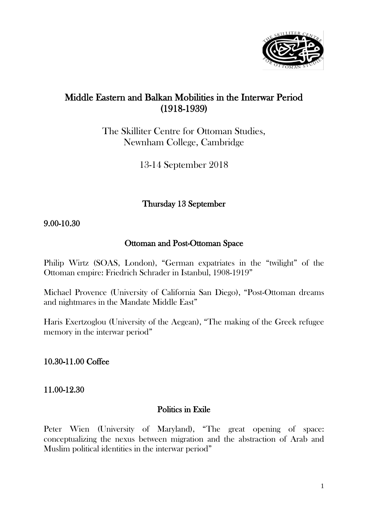

# Middle Eastern and Balkan Mobilities in the Interwar Period (1918-1939)

The Skilliter Centre for Ottoman Studies, Newnham College, Cambridge

13-14 September 2018

Thursday 13 September

### 9.00-10.30

### Ottoman and Post-Ottoman Space

Philip Wirtz (SOAS, London), "German expatriates in the "twilight" of the Ottoman empire: Friedrich Schrader in Istanbul, 1908-1919"

Michael Provence (University of California San Diego), "Post-Ottoman dreams and nightmares in the Mandate Middle East"

Haris Exertzoglou (University of the Aegean), "The making of the Greek refugee memory in the interwar period"

## 10.30-11.00 Coffee

### 11.00-12.30

#### Politics in Exile

Peter Wien (University of Maryland), "The great opening of space: conceptualizing the nexus between migration and the abstraction of Arab and Muslim political identities in the interwar period"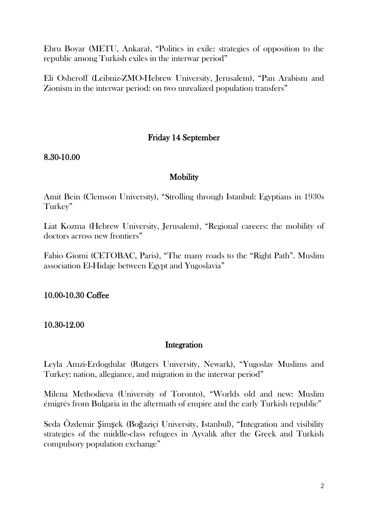Ebru Boyar (METU, Ankara), "Politics in exile: strategies of opposition to the republic among Turkish exiles in the interwar period"

Eli Osheroff (Leibniz-ZMO-Hebrew University, Jerusalem), "Pan Arabism and Zionism in the interwar period: on two unrealized population transfers"

# Friday 14 September

8.30-10.00

## **Mobility**

Amit Bein (Clemson University), "Strolling through Istanbul: Egyptians in 1930s Turkey"

Liat Kozma (Hebrew University, Jerusalem), "Regional careers: the mobility of doctors across new frontiers"

Fabio Giomi (CETOBAC, Paris), "The many roads to the "Right Path". Muslim association El-Hidaje between Egypt and Yugoslavia"

10.00-10.30 Coffee

10.30-12.00

### Integration

Leyla Amzi-Erdogdular (Rutgers University, Newark), "Yugoslav Muslims and Turkey: nation, allegiance, and migration in the interwar period"

Milena Methodieva (University of Toronto), "Worlds old and new: Muslim émigrés from Bulgaria in the aftermath of empire and the early Turkish republic"

Seda Özdemir Şimşek (Boğaziçi University, Istanbul), "Integration and visibility strategies of the middle-class refugees in Ayvalık after the Greek and Turkish compulsory population exchange"